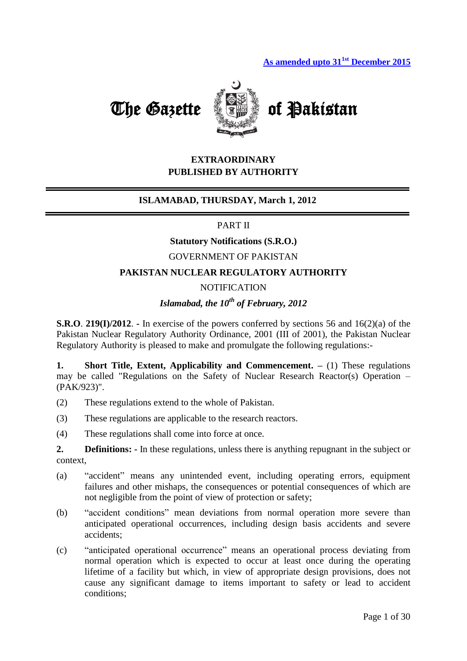



## **EXTRAORDINARY PUBLISHED BY AUTHORITY**

#### **ISLAMABAD, THURSDAY, March 1, 2012**

#### PART II

## **Statutory Notifications (S.R.O.)**

## GOVERNMENT OF PAKISTAN

#### **PAKISTAN NUCLEAR REGULATORY AUTHORITY**

#### **NOTIFICATION**

# *Islamabad, the 10th of February, 2012*

**S.R.O**. **219(I)/2012**. **-** In exercise of the powers conferred by sections 56 and 16(2)(a) of the Pakistan Nuclear Regulatory Authority Ordinance, 2001 (III of 2001), the Pakistan Nuclear Regulatory Authority is pleased to make and promulgate the following regulations:-

**1. Short Title, Extent, Applicability and Commencement. –** (1) These regulations may be called "Regulations on the Safety of Nuclear Research Reactor(s) Operation – (PAK/923)".

- (2) These regulations extend to the whole of Pakistan.
- (3) These regulations are applicable to the research reactors.
- (4) These regulations shall come into force at once.

**2. Definitions: -** In these regulations, unless there is anything repugnant in the subject or context,

- (a) "accident" means any unintended event, including operating errors, equipment failures and other mishaps, the consequences or potential consequences of which are not negligible from the point of view of protection or safety;
- (b) "accident conditions" mean deviations from normal operation more severe than anticipated operational occurrences, including design basis accidents and severe accidents;
- (c) "anticipated operational occurrence" means an operational process deviating from normal operation which is expected to occur at least once during the operating lifetime of a facility but which, in view of appropriate design provisions, does not cause any significant damage to items important to safety or lead to accident conditions;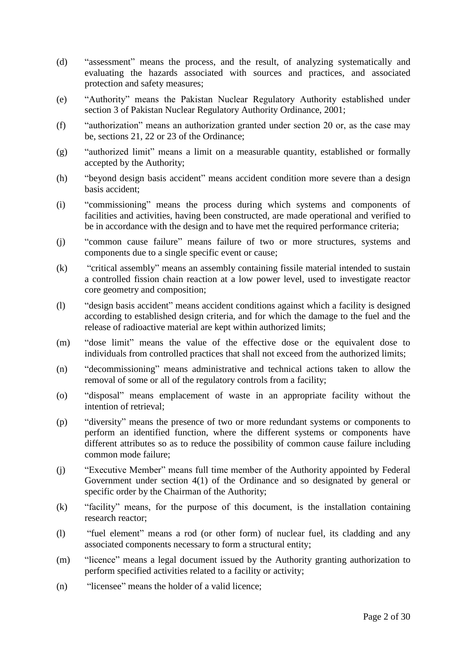- (d) "assessment" means the process, and the result, of analyzing systematically and evaluating the hazards associated with sources and practices, and associated protection and safety measures;
- (e) "Authority" means the Pakistan Nuclear Regulatory Authority established under section 3 of Pakistan Nuclear Regulatory Authority Ordinance, 2001;
- (f) "authorization" means an authorization granted under section 20 or, as the case may be, sections 21, 22 or 23 of the Ordinance;
- (g) "authorized limit" means a limit on a measurable quantity, established or formally accepted by the Authority;
- (h) "beyond design basis accident" means accident condition more severe than a design basis accident;
- (i) "commissioning" means the process during which systems and components of facilities and activities, having been constructed, are made operational and verified to be in accordance with the design and to have met the required performance criteria;
- (j) "common cause failure" means failure of two or more structures, systems and components due to a single specific event or cause;
- (k) "critical assembly" means an assembly containing fissile material intended to sustain a controlled fission chain reaction at a low power level, used to investigate reactor core geometry and composition;
- (l) "design basis accident" means accident conditions against which a facility is designed according to established design criteria, and for which the damage to the fuel and the release of radioactive material are kept within authorized limits;
- (m) "dose limit" means the value of the effective dose or the equivalent dose to individuals from controlled practices that shall not exceed from the authorized limits;
- (n) "decommissioning" means administrative and technical actions taken to allow the removal of some or all of the regulatory controls from a facility;
- (o) "disposal" means emplacement of waste in an appropriate facility without the intention of retrieval;
- (p) "diversity" means the presence of two or more redundant systems or components to perform an identified function, where the different systems or components have different attributes so as to reduce the possibility of common cause failure including common mode failure;
- (j) "Executive Member" means full time member of the Authority appointed by Federal Government under section 4(1) of the Ordinance and so designated by general or specific order by the Chairman of the Authority;
- (k) "facility" means, for the purpose of this document, is the installation containing research reactor;
- (l) "fuel element" means a rod (or other form) of nuclear fuel, its cladding and any associated components necessary to form a structural entity;
- (m) "licence" means a legal document issued by the Authority granting authorization to perform specified activities related to a facility or activity;
- (n) "licensee" means the holder of a valid licence;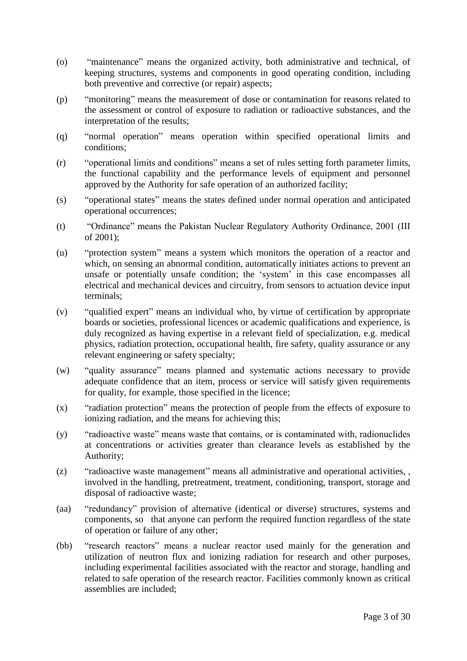- (o) "maintenance" means the organized activity, both administrative and technical, of keeping structures, systems and components in good operating condition, including both preventive and corrective (or repair) aspects;
- (p) "monitoring" means the measurement of dose or contamination for reasons related to the assessment or control of exposure to radiation or radioactive substances, and the interpretation of the results;
- (q) "normal operation" means operation within specified operational limits and conditions;
- (r) "operational limits and conditions" means a set of rules setting forth parameter limits, the functional capability and the performance levels of equipment and personnel approved by the Authority for safe operation of an authorized facility;
- (s) "operational states" means the states defined under normal operation and anticipated operational occurrences;
- (t) "Ordinance" means the Pakistan Nuclear Regulatory Authority Ordinance, 2001 (III of 2001);
- (u) "protection system" means a system which monitors the operation of a reactor and which, on sensing an abnormal condition, automatically initiates actions to prevent an unsafe or potentially unsafe condition; the 'system' in this case encompasses all electrical and mechanical devices and circuitry, from sensors to actuation device input terminals;
- (v) "qualified expert" means an individual who, by virtue of certification by appropriate boards or societies, professional licences or academic qualifications and experience, is duly recognized as having expertise in a relevant field of specialization, e.g. medical physics, radiation protection, occupational health, fire safety, quality assurance or any relevant engineering or safety specialty;
- (w) "quality assurance" means planned and systematic actions necessary to provide adequate confidence that an item, process or service will satisfy given requirements for quality, for example, those specified in the licence;
- (x) "radiation protection" means the protection of people from the effects of exposure to ionizing radiation, and the means for achieving this;
- (y) "radioactive waste" means waste that contains, or is contaminated with, radionuclides at concentrations or activities greater than clearance levels as established by the Authority;
- (z) "radioactive waste management" means all administrative and operational activities, , involved in the handling, pretreatment, treatment, conditioning, transport, storage and disposal of radioactive waste;
- (aa) "redundancy" provision of alternative (identical or diverse) structures, systems and components, so that anyone can perform the required function regardless of the state of operation or failure of any other;
- (bb) "research reactors" means a nuclear reactor used mainly for the generation and utilization of neutron flux and ionizing radiation for research and other purposes, including experimental facilities associated with the reactor and storage, handling and related to safe operation of the research reactor. Facilities commonly known as critical assemblies are included;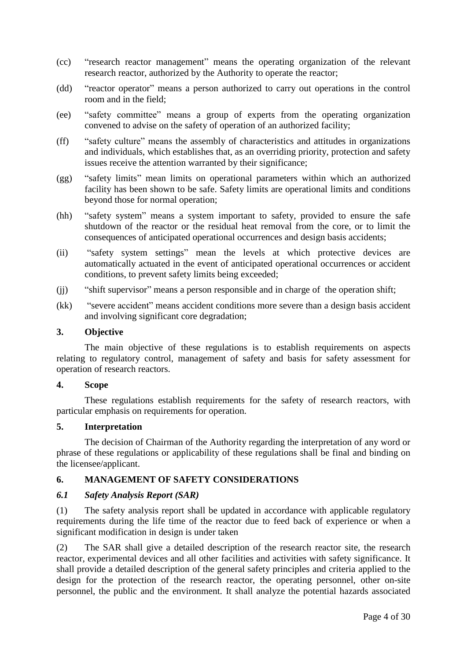- (cc) "research reactor management" means the operating organization of the relevant research reactor, authorized by the Authority to operate the reactor;
- (dd) "reactor operator" means a person authorized to carry out operations in the control room and in the field;
- (ee) "safety committee" means a group of experts from the operating organization convened to advise on the safety of operation of an authorized facility;
- (ff) "safety culture" means the assembly of characteristics and attitudes in organizations and individuals, which establishes that, as an overriding priority, protection and safety issues receive the attention warranted by their significance;
- (gg) "safety limits" mean limits on operational parameters within which an authorized facility has been shown to be safe. Safety limits are operational limits and conditions beyond those for normal operation;
- (hh) "safety system" means a system important to safety, provided to ensure the safe shutdown of the reactor or the residual heat removal from the core, or to limit the consequences of anticipated operational occurrences and design basis accidents;
- (ii) "safety system settings" mean the levels at which protective devices are automatically actuated in the event of anticipated operational occurrences or accident conditions, to prevent safety limits being exceeded;
- (jj) "shift supervisor" means a person responsible and in charge of the operation shift;
- (kk) "severe accident" means accident conditions more severe than a design basis accident and involving significant core degradation;

#### **3. Objective**

The main objective of these regulations is to establish requirements on aspects relating to regulatory control, management of safety and basis for safety assessment for operation of research reactors.

#### **4. Scope**

These regulations establish requirements for the safety of research reactors, with particular emphasis on requirements for operation.

#### **5. Interpretation**

The decision of Chairman of the Authority regarding the interpretation of any word or phrase of these regulations or applicability of these regulations shall be final and binding on the licensee/applicant.

## **6. MANAGEMENT OF SAFETY CONSIDERATIONS**

## *6.1 Safety Analysis Report (SAR)*

(1) The safety analysis report shall be updated in accordance with applicable regulatory requirements during the life time of the reactor due to feed back of experience or when a significant modification in design is under taken

(2) The SAR shall give a detailed description of the research reactor site, the research reactor, experimental devices and all other facilities and activities with safety significance. It shall provide a detailed description of the general safety principles and criteria applied to the design for the protection of the research reactor, the operating personnel, other on-site personnel, the public and the environment. It shall analyze the potential hazards associated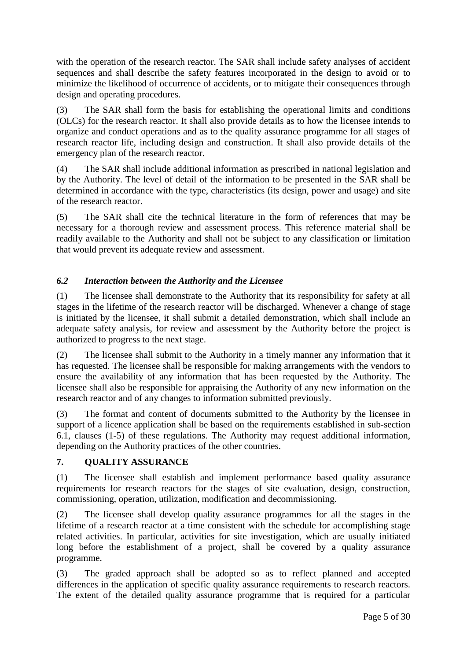with the operation of the research reactor. The SAR shall include safety analyses of accident sequences and shall describe the safety features incorporated in the design to avoid or to minimize the likelihood of occurrence of accidents, or to mitigate their consequences through design and operating procedures.

(3) The SAR shall form the basis for establishing the operational limits and conditions (OLCs) for the research reactor. It shall also provide details as to how the licensee intends to organize and conduct operations and as to the quality assurance programme for all stages of research reactor life, including design and construction. It shall also provide details of the emergency plan of the research reactor.

(4) The SAR shall include additional information as prescribed in national legislation and by the Authority. The level of detail of the information to be presented in the SAR shall be determined in accordance with the type, characteristics (its design, power and usage) and site of the research reactor.

(5) The SAR shall cite the technical literature in the form of references that may be necessary for a thorough review and assessment process. This reference material shall be readily available to the Authority and shall not be subject to any classification or limitation that would prevent its adequate review and assessment.

## *6.2 Interaction between the Authority and the Licensee*

(1) The licensee shall demonstrate to the Authority that its responsibility for safety at all stages in the lifetime of the research reactor will be discharged. Whenever a change of stage is initiated by the licensee, it shall submit a detailed demonstration, which shall include an adequate safety analysis, for review and assessment by the Authority before the project is authorized to progress to the next stage.

(2) The licensee shall submit to the Authority in a timely manner any information that it has requested. The licensee shall be responsible for making arrangements with the vendors to ensure the availability of any information that has been requested by the Authority. The licensee shall also be responsible for appraising the Authority of any new information on the research reactor and of any changes to information submitted previously.

(3) The format and content of documents submitted to the Authority by the licensee in support of a licence application shall be based on the requirements established in sub-section 6.1, clauses (1-5) of these regulations. The Authority may request additional information, depending on the Authority practices of the other countries.

## **7. QUALITY ASSURANCE**

(1) The licensee shall establish and implement performance based quality assurance requirements for research reactors for the stages of site evaluation, design, construction, commissioning, operation, utilization, modification and decommissioning.

(2) The licensee shall develop quality assurance programmes for all the stages in the lifetime of a research reactor at a time consistent with the schedule for accomplishing stage related activities. In particular, activities for site investigation, which are usually initiated long before the establishment of a project, shall be covered by a quality assurance programme.

(3) The graded approach shall be adopted so as to reflect planned and accepted differences in the application of specific quality assurance requirements to research reactors. The extent of the detailed quality assurance programme that is required for a particular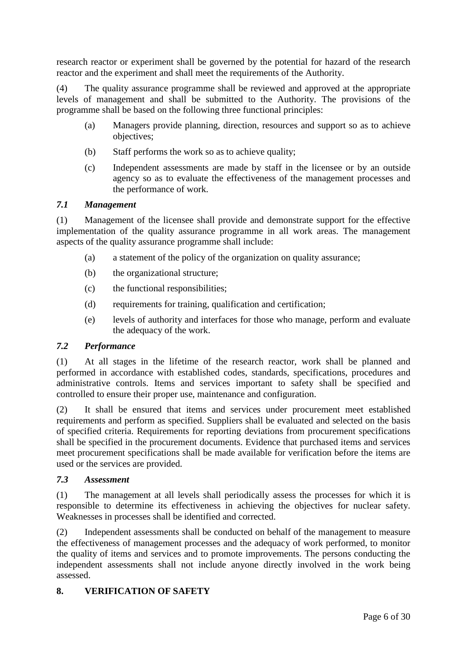research reactor or experiment shall be governed by the potential for hazard of the research reactor and the experiment and shall meet the requirements of the Authority.

(4) The quality assurance programme shall be reviewed and approved at the appropriate levels of management and shall be submitted to the Authority. The provisions of the programme shall be based on the following three functional principles:

- (a) Managers provide planning, direction, resources and support so as to achieve objectives;
- (b) Staff performs the work so as to achieve quality;
- (c) Independent assessments are made by staff in the licensee or by an outside agency so as to evaluate the effectiveness of the management processes and the performance of work.

## *7.1 Management*

(1) Management of the licensee shall provide and demonstrate support for the effective implementation of the quality assurance programme in all work areas. The management aspects of the quality assurance programme shall include:

- (a) a statement of the policy of the organization on quality assurance;
- (b) the organizational structure;
- (c) the functional responsibilities;
- (d) requirements for training, qualification and certification;
- (e) levels of authority and interfaces for those who manage, perform and evaluate the adequacy of the work.

## *7.2 Performance*

(1) At all stages in the lifetime of the research reactor, work shall be planned and performed in accordance with established codes, standards, specifications, procedures and administrative controls. Items and services important to safety shall be specified and controlled to ensure their proper use, maintenance and configuration.

(2) It shall be ensured that items and services under procurement meet established requirements and perform as specified. Suppliers shall be evaluated and selected on the basis of specified criteria. Requirements for reporting deviations from procurement specifications shall be specified in the procurement documents. Evidence that purchased items and services meet procurement specifications shall be made available for verification before the items are used or the services are provided.

## *7.3 Assessment*

(1) The management at all levels shall periodically assess the processes for which it is responsible to determine its effectiveness in achieving the objectives for nuclear safety. Weaknesses in processes shall be identified and corrected.

(2) Independent assessments shall be conducted on behalf of the management to measure the effectiveness of management processes and the adequacy of work performed, to monitor the quality of items and services and to promote improvements. The persons conducting the independent assessments shall not include anyone directly involved in the work being assessed.

## **8. VERIFICATION OF SAFETY**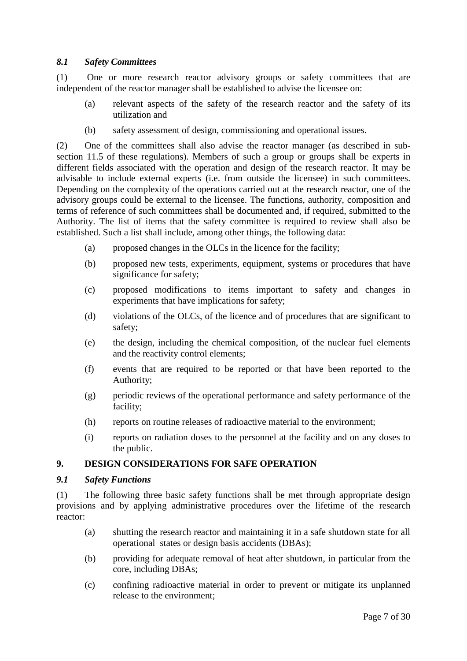#### *8.1 Safety Committees*

(1) One or more research reactor advisory groups or safety committees that are independent of the reactor manager shall be established to advise the licensee on:

- (a) relevant aspects of the safety of the research reactor and the safety of its utilization and
- (b) safety assessment of design, commissioning and operational issues.

(2) One of the committees shall also advise the reactor manager (as described in subsection 11.5 of these regulations). Members of such a group or groups shall be experts in different fields associated with the operation and design of the research reactor. It may be advisable to include external experts (i.e. from outside the licensee) in such committees. Depending on the complexity of the operations carried out at the research reactor, one of the advisory groups could be external to the licensee. The functions, authority, composition and terms of reference of such committees shall be documented and, if required, submitted to the Authority. The list of items that the safety committee is required to review shall also be established. Such a list shall include, among other things, the following data:

- (a) proposed changes in the OLCs in the licence for the facility;
- (b) proposed new tests, experiments, equipment, systems or procedures that have significance for safety;
- (c) proposed modifications to items important to safety and changes in experiments that have implications for safety;
- (d) violations of the OLCs, of the licence and of procedures that are significant to safety;
- (e) the design, including the chemical composition, of the nuclear fuel elements and the reactivity control elements;
- (f) events that are required to be reported or that have been reported to the Authority;
- (g) periodic reviews of the operational performance and safety performance of the facility;
- (h) reports on routine releases of radioactive material to the environment;
- (i) reports on radiation doses to the personnel at the facility and on any doses to the public.

## **9. DESIGN CONSIDERATIONS FOR SAFE OPERATION**

#### *9.1 Safety Functions*

(1) The following three basic safety functions shall be met through appropriate design provisions and by applying administrative procedures over the lifetime of the research reactor:

- (a) shutting the research reactor and maintaining it in a safe shutdown state for all operational states or design basis accidents (DBAs);
- (b) providing for adequate removal of heat after shutdown, in particular from the core, including DBAs;
- (c) confining radioactive material in order to prevent or mitigate its unplanned release to the environment;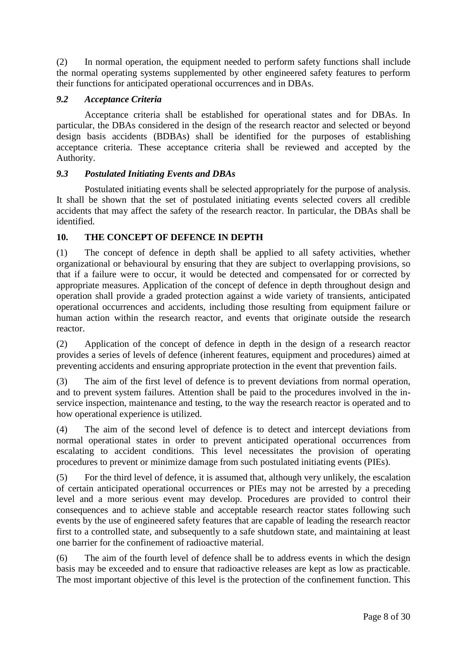(2) In normal operation, the equipment needed to perform safety functions shall include the normal operating systems supplemented by other engineered safety features to perform their functions for anticipated operational occurrences and in DBAs.

## *9.2 Acceptance Criteria*

Acceptance criteria shall be established for operational states and for DBAs. In particular, the DBAs considered in the design of the research reactor and selected or beyond design basis accidents (BDBAs) shall be identified for the purposes of establishing acceptance criteria. These acceptance criteria shall be reviewed and accepted by the Authority.

## *9.3 Postulated Initiating Events and DBAs*

Postulated initiating events shall be selected appropriately for the purpose of analysis. It shall be shown that the set of postulated initiating events selected covers all credible accidents that may affect the safety of the research reactor. In particular, the DBAs shall be identified.

## **10. THE CONCEPT OF DEFENCE IN DEPTH**

(1) The concept of defence in depth shall be applied to all safety activities, whether organizational or behavioural by ensuring that they are subject to overlapping provisions, so that if a failure were to occur, it would be detected and compensated for or corrected by appropriate measures. Application of the concept of defence in depth throughout design and operation shall provide a graded protection against a wide variety of transients, anticipated operational occurrences and accidents, including those resulting from equipment failure or human action within the research reactor, and events that originate outside the research reactor.

(2) Application of the concept of defence in depth in the design of a research reactor provides a series of levels of defence (inherent features, equipment and procedures) aimed at preventing accidents and ensuring appropriate protection in the event that prevention fails.

(3) The aim of the first level of defence is to prevent deviations from normal operation, and to prevent system failures. Attention shall be paid to the procedures involved in the inservice inspection, maintenance and testing, to the way the research reactor is operated and to how operational experience is utilized.

(4) The aim of the second level of defence is to detect and intercept deviations from normal operational states in order to prevent anticipated operational occurrences from escalating to accident conditions. This level necessitates the provision of operating procedures to prevent or minimize damage from such postulated initiating events (PIEs).

(5) For the third level of defence, it is assumed that, although very unlikely, the escalation of certain anticipated operational occurrences or PIEs may not be arrested by a preceding level and a more serious event may develop. Procedures are provided to control their consequences and to achieve stable and acceptable research reactor states following such events by the use of engineered safety features that are capable of leading the research reactor first to a controlled state, and subsequently to a safe shutdown state, and maintaining at least one barrier for the confinement of radioactive material.

(6) The aim of the fourth level of defence shall be to address events in which the design basis may be exceeded and to ensure that radioactive releases are kept as low as practicable. The most important objective of this level is the protection of the confinement function. This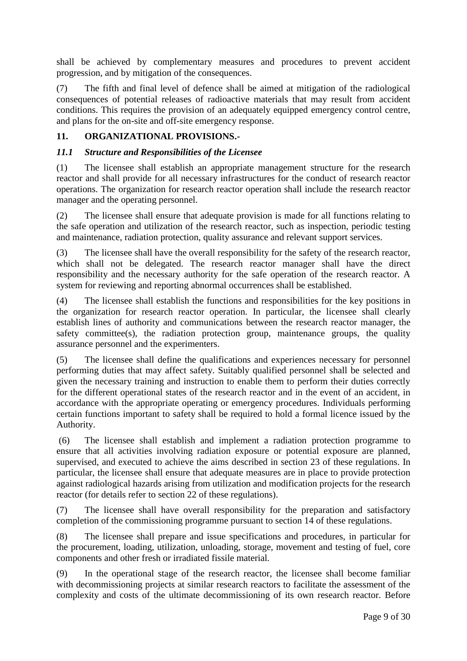shall be achieved by complementary measures and procedures to prevent accident progression, and by mitigation of the consequences.

(7) The fifth and final level of defence shall be aimed at mitigation of the radiological consequences of potential releases of radioactive materials that may result from accident conditions. This requires the provision of an adequately equipped emergency control centre, and plans for the on-site and off-site emergency response.

## **11. ORGANIZATIONAL PROVISIONS.-**

## *11.1 Structure and Responsibilities of the Licensee*

(1) The licensee shall establish an appropriate management structure for the research reactor and shall provide for all necessary infrastructures for the conduct of research reactor operations. The organization for research reactor operation shall include the research reactor manager and the operating personnel.

(2) The licensee shall ensure that adequate provision is made for all functions relating to the safe operation and utilization of the research reactor, such as inspection, periodic testing and maintenance, radiation protection, quality assurance and relevant support services.

(3) The licensee shall have the overall responsibility for the safety of the research reactor, which shall not be delegated. The research reactor manager shall have the direct responsibility and the necessary authority for the safe operation of the research reactor. A system for reviewing and reporting abnormal occurrences shall be established.

(4) The licensee shall establish the functions and responsibilities for the key positions in the organization for research reactor operation. In particular, the licensee shall clearly establish lines of authority and communications between the research reactor manager, the safety committee(s), the radiation protection group, maintenance groups, the quality assurance personnel and the experimenters.

(5) The licensee shall define the qualifications and experiences necessary for personnel performing duties that may affect safety. Suitably qualified personnel shall be selected and given the necessary training and instruction to enable them to perform their duties correctly for the different operational states of the research reactor and in the event of an accident, in accordance with the appropriate operating or emergency procedures. Individuals performing certain functions important to safety shall be required to hold a formal licence issued by the Authority.

(6) The licensee shall establish and implement a radiation protection programme to ensure that all activities involving radiation exposure or potential exposure are planned, supervised, and executed to achieve the aims described in section 23 of these regulations. In particular, the licensee shall ensure that adequate measures are in place to provide protection against radiological hazards arising from utilization and modification projects for the research reactor (for details refer to section 22 of these regulations).

(7) The licensee shall have overall responsibility for the preparation and satisfactory completion of the commissioning programme pursuant to section 14 of these regulations.

(8) The licensee shall prepare and issue specifications and procedures, in particular for the procurement, loading, utilization, unloading, storage, movement and testing of fuel, core components and other fresh or irradiated fissile material.

(9) In the operational stage of the research reactor, the licensee shall become familiar with decommissioning projects at similar research reactors to facilitate the assessment of the complexity and costs of the ultimate decommissioning of its own research reactor. Before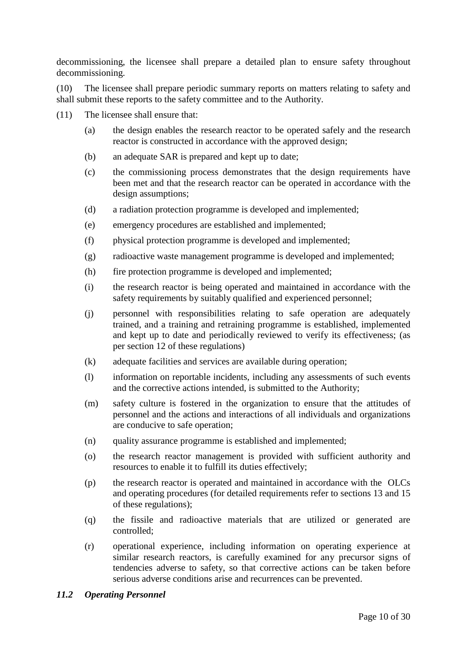decommissioning, the licensee shall prepare a detailed plan to ensure safety throughout decommissioning.

(10) The licensee shall prepare periodic summary reports on matters relating to safety and shall submit these reports to the safety committee and to the Authority.

- (11) The licensee shall ensure that:
	- (a) the design enables the research reactor to be operated safely and the research reactor is constructed in accordance with the approved design;
	- (b) an adequate SAR is prepared and kept up to date;
	- (c) the commissioning process demonstrates that the design requirements have been met and that the research reactor can be operated in accordance with the design assumptions;
	- (d) a radiation protection programme is developed and implemented;
	- (e) emergency procedures are established and implemented;
	- (f) physical protection programme is developed and implemented;
	- (g) radioactive waste management programme is developed and implemented;
	- (h) fire protection programme is developed and implemented;
	- (i) the research reactor is being operated and maintained in accordance with the safety requirements by suitably qualified and experienced personnel:
	- (j) personnel with responsibilities relating to safe operation are adequately trained, and a training and retraining programme is established, implemented and kept up to date and periodically reviewed to verify its effectiveness; (as per section 12 of these regulations)
	- (k) adequate facilities and services are available during operation;
	- (l) information on reportable incidents, including any assessments of such events and the corrective actions intended, is submitted to the Authority;
	- (m) safety culture is fostered in the organization to ensure that the attitudes of personnel and the actions and interactions of all individuals and organizations are conducive to safe operation;
	- (n) quality assurance programme is established and implemented;
	- (o) the research reactor management is provided with sufficient authority and resources to enable it to fulfill its duties effectively;
	- (p) the research reactor is operated and maintained in accordance with the OLCs and operating procedures (for detailed requirements refer to sections 13 and 15 of these regulations);
	- (q) the fissile and radioactive materials that are utilized or generated are controlled;
	- (r) operational experience, including information on operating experience at similar research reactors, is carefully examined for any precursor signs of tendencies adverse to safety, so that corrective actions can be taken before serious adverse conditions arise and recurrences can be prevented.

#### *11.2 Operating Personnel*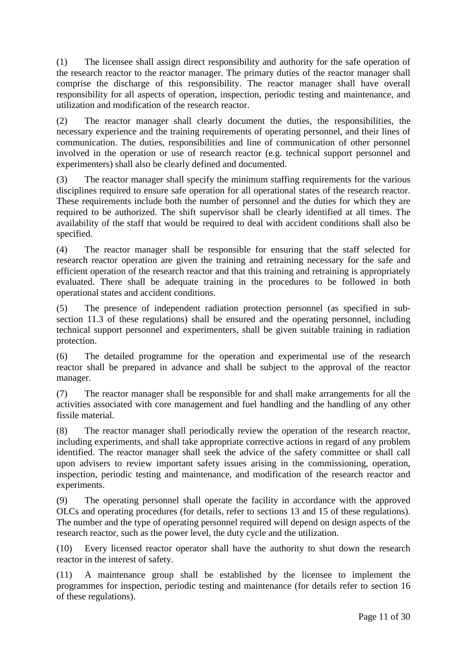(1) The licensee shall assign direct responsibility and authority for the safe operation of the research reactor to the reactor manager. The primary duties of the reactor manager shall comprise the discharge of this responsibility. The reactor manager shall have overall responsibility for all aspects of operation, inspection, periodic testing and maintenance, and utilization and modification of the research reactor.

(2) The reactor manager shall clearly document the duties, the responsibilities, the necessary experience and the training requirements of operating personnel, and their lines of communication. The duties, responsibilities and line of communication of other personnel involved in the operation or use of research reactor (e.g. technical support personnel and experimenters) shall also be clearly defined and documented.

(3) The reactor manager shall specify the minimum staffing requirements for the various disciplines required to ensure safe operation for all operational states of the research reactor. These requirements include both the number of personnel and the duties for which they are required to be authorized. The shift supervisor shall be clearly identified at all times. The availability of the staff that would be required to deal with accident conditions shall also be specified.

(4) The reactor manager shall be responsible for ensuring that the staff selected for research reactor operation are given the training and retraining necessary for the safe and efficient operation of the research reactor and that this training and retraining is appropriately evaluated. There shall be adequate training in the procedures to be followed in both operational states and accident conditions.

(5) The presence of independent radiation protection personnel (as specified in subsection 11.3 of these regulations) shall be ensured and the operating personnel, including technical support personnel and experimenters, shall be given suitable training in radiation protection.

(6) The detailed programme for the operation and experimental use of the research reactor shall be prepared in advance and shall be subject to the approval of the reactor manager.

(7) The reactor manager shall be responsible for and shall make arrangements for all the activities associated with core management and fuel handling and the handling of any other fissile material.

(8) The reactor manager shall periodically review the operation of the research reactor, including experiments, and shall take appropriate corrective actions in regard of any problem identified. The reactor manager shall seek the advice of the safety committee or shall call upon advisers to review important safety issues arising in the commissioning, operation, inspection, periodic testing and maintenance, and modification of the research reactor and experiments.

(9) The operating personnel shall operate the facility in accordance with the approved OLCs and operating procedures (for details, refer to sections 13 and 15 of these regulations). The number and the type of operating personnel required will depend on design aspects of the research reactor, such as the power level, the duty cycle and the utilization.

(10) Every licensed reactor operator shall have the authority to shut down the research reactor in the interest of safety.

A maintenance group shall be established by the licensee to implement the programmes for inspection, periodic testing and maintenance (for details refer to section 16 of these regulations).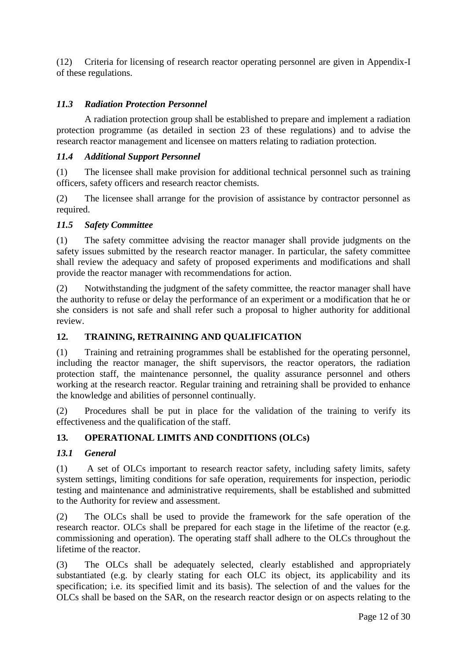(12) Criteria for licensing of research reactor operating personnel are given in Appendix-I of these regulations.

## *11.3 Radiation Protection Personnel*

A radiation protection group shall be established to prepare and implement a radiation protection programme (as detailed in section 23 of these regulations) and to advise the research reactor management and licensee on matters relating to radiation protection.

#### *11.4 Additional Support Personnel*

(1) The licensee shall make provision for additional technical personnel such as training officers, safety officers and research reactor chemists.

(2) The licensee shall arrange for the provision of assistance by contractor personnel as required.

#### *11.5 Safety Committee*

(1) The safety committee advising the reactor manager shall provide judgments on the safety issues submitted by the research reactor manager. In particular, the safety committee shall review the adequacy and safety of proposed experiments and modifications and shall provide the reactor manager with recommendations for action.

(2) Notwithstanding the judgment of the safety committee, the reactor manager shall have the authority to refuse or delay the performance of an experiment or a modification that he or she considers is not safe and shall refer such a proposal to higher authority for additional review.

## **12. TRAINING, RETRAINING AND QUALIFICATION**

(1) Training and retraining programmes shall be established for the operating personnel, including the reactor manager, the shift supervisors, the reactor operators, the radiation protection staff, the maintenance personnel, the quality assurance personnel and others working at the research reactor. Regular training and retraining shall be provided to enhance the knowledge and abilities of personnel continually.

(2) Procedures shall be put in place for the validation of the training to verify its effectiveness and the qualification of the staff.

## **13. OPERATIONAL LIMITS AND CONDITIONS (OLCs)**

## *13.1 General*

(1) A set of OLCs important to research reactor safety, including safety limits, safety system settings, limiting conditions for safe operation, requirements for inspection, periodic testing and maintenance and administrative requirements, shall be established and submitted to the Authority for review and assessment.

(2) The OLCs shall be used to provide the framework for the safe operation of the research reactor. OLCs shall be prepared for each stage in the lifetime of the reactor (e.g. commissioning and operation). The operating staff shall adhere to the OLCs throughout the lifetime of the reactor.

(3) The OLCs shall be adequately selected, clearly established and appropriately substantiated (e.g. by clearly stating for each OLC its object, its applicability and its specification; i.e. its specified limit and its basis). The selection of and the values for the OLCs shall be based on the SAR, on the research reactor design or on aspects relating to the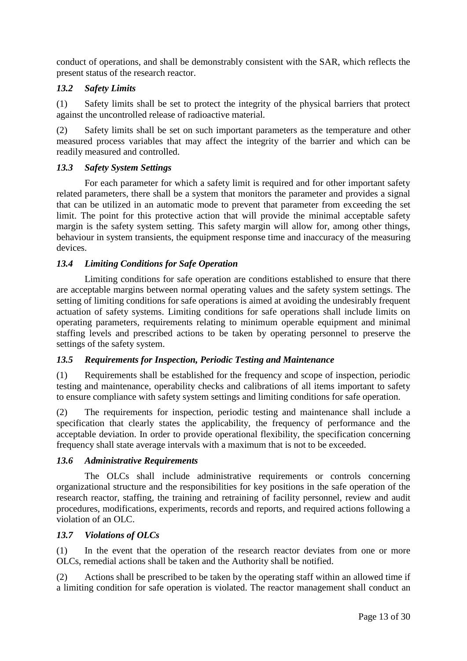conduct of operations, and shall be demonstrably consistent with the SAR, which reflects the present status of the research reactor.

## *13.2 Safety Limits*

(1) Safety limits shall be set to protect the integrity of the physical barriers that protect against the uncontrolled release of radioactive material.

(2) Safety limits shall be set on such important parameters as the temperature and other measured process variables that may affect the integrity of the barrier and which can be readily measured and controlled.

#### *13.3 Safety System Settings*

For each parameter for which a safety limit is required and for other important safety related parameters, there shall be a system that monitors the parameter and provides a signal that can be utilized in an automatic mode to prevent that parameter from exceeding the set limit. The point for this protective action that will provide the minimal acceptable safety margin is the safety system setting. This safety margin will allow for, among other things, behaviour in system transients, the equipment response time and inaccuracy of the measuring devices.

## *13.4 Limiting Conditions for Safe Operation*

Limiting conditions for safe operation are conditions established to ensure that there are acceptable margins between normal operating values and the safety system settings. The setting of limiting conditions for safe operations is aimed at avoiding the undesirably frequent actuation of safety systems. Limiting conditions for safe operations shall include limits on operating parameters, requirements relating to minimum operable equipment and minimal staffing levels and prescribed actions to be taken by operating personnel to preserve the settings of the safety system.

## *13.5 Requirements for Inspection, Periodic Testing and Maintenance*

(1) Requirements shall be established for the frequency and scope of inspection, periodic testing and maintenance, operability checks and calibrations of all items important to safety to ensure compliance with safety system settings and limiting conditions for safe operation.

(2) The requirements for inspection, periodic testing and maintenance shall include a specification that clearly states the applicability, the frequency of performance and the acceptable deviation. In order to provide operational flexibility, the specification concerning frequency shall state average intervals with a maximum that is not to be exceeded.

#### *13.6 Administrative Requirements*

The OLCs shall include administrative requirements or controls concerning organizational structure and the responsibilities for key positions in the safe operation of the research reactor, staffing, the training and retraining of facility personnel, review and audit procedures, modifications, experiments, records and reports, and required actions following a violation of an OLC.

#### *13.7 Violations of OLCs*

(1) In the event that the operation of the research reactor deviates from one or more OLCs, remedial actions shall be taken and the Authority shall be notified.

(2) Actions shall be prescribed to be taken by the operating staff within an allowed time if a limiting condition for safe operation is violated. The reactor management shall conduct an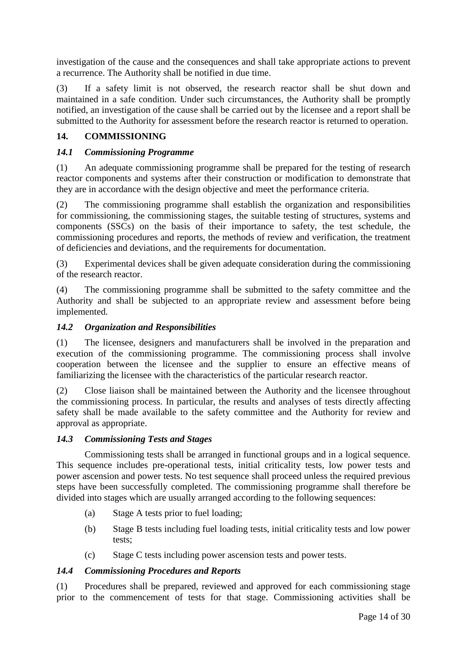investigation of the cause and the consequences and shall take appropriate actions to prevent a recurrence. The Authority shall be notified in due time.

(3) If a safety limit is not observed, the research reactor shall be shut down and maintained in a safe condition. Under such circumstances, the Authority shall be promptly notified, an investigation of the cause shall be carried out by the licensee and a report shall be submitted to the Authority for assessment before the research reactor is returned to operation.

## **14. COMMISSIONING**

#### *14.1 Commissioning Programme*

(1) An adequate commissioning programme shall be prepared for the testing of research reactor components and systems after their construction or modification to demonstrate that they are in accordance with the design objective and meet the performance criteria.

(2) The commissioning programme shall establish the organization and responsibilities for commissioning, the commissioning stages, the suitable testing of structures, systems and components (SSCs) on the basis of their importance to safety, the test schedule, the commissioning procedures and reports, the methods of review and verification, the treatment of deficiencies and deviations, and the requirements for documentation.

(3) Experimental devices shall be given adequate consideration during the commissioning of the research reactor.

(4) The commissioning programme shall be submitted to the safety committee and the Authority and shall be subjected to an appropriate review and assessment before being implemented.

#### *14.2 Organization and Responsibilities*

(1) The licensee, designers and manufacturers shall be involved in the preparation and execution of the commissioning programme. The commissioning process shall involve cooperation between the licensee and the supplier to ensure an effective means of familiarizing the licensee with the characteristics of the particular research reactor.

(2) Close liaison shall be maintained between the Authority and the licensee throughout the commissioning process. In particular, the results and analyses of tests directly affecting safety shall be made available to the safety committee and the Authority for review and approval as appropriate.

#### *14.3 Commissioning Tests and Stages*

Commissioning tests shall be arranged in functional groups and in a logical sequence. This sequence includes pre-operational tests, initial criticality tests, low power tests and power ascension and power tests. No test sequence shall proceed unless the required previous steps have been successfully completed. The commissioning programme shall therefore be divided into stages which are usually arranged according to the following sequences:

- (a) Stage A tests prior to fuel loading;
- (b) Stage B tests including fuel loading tests, initial criticality tests and low power tests;
- (c) Stage C tests including power ascension tests and power tests.

#### *14.4 Commissioning Procedures and Reports*

(1) Procedures shall be prepared, reviewed and approved for each commissioning stage prior to the commencement of tests for that stage. Commissioning activities shall be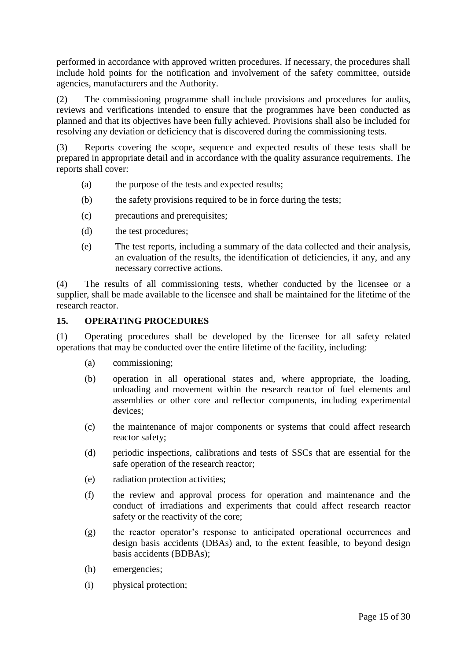performed in accordance with approved written procedures. If necessary, the procedures shall include hold points for the notification and involvement of the safety committee, outside agencies, manufacturers and the Authority.

(2) The commissioning programme shall include provisions and procedures for audits, reviews and verifications intended to ensure that the programmes have been conducted as planned and that its objectives have been fully achieved. Provisions shall also be included for resolving any deviation or deficiency that is discovered during the commissioning tests.

(3) Reports covering the scope, sequence and expected results of these tests shall be prepared in appropriate detail and in accordance with the quality assurance requirements. The reports shall cover:

- (a) the purpose of the tests and expected results;
- (b) the safety provisions required to be in force during the tests;
- (c) precautions and prerequisites;
- (d) the test procedures;
- (e) The test reports, including a summary of the data collected and their analysis, an evaluation of the results, the identification of deficiencies, if any, and any necessary corrective actions.

(4) The results of all commissioning tests, whether conducted by the licensee or a supplier, shall be made available to the licensee and shall be maintained for the lifetime of the research reactor.

#### **15. OPERATING PROCEDURES**

(1) Operating procedures shall be developed by the licensee for all safety related operations that may be conducted over the entire lifetime of the facility, including:

- (a) commissioning;
- (b) operation in all operational states and, where appropriate, the loading, unloading and movement within the research reactor of fuel elements and assemblies or other core and reflector components, including experimental devices;
- (c) the maintenance of major components or systems that could affect research reactor safety;
- (d) periodic inspections, calibrations and tests of SSCs that are essential for the safe operation of the research reactor;
- (e) radiation protection activities;
- (f) the review and approval process for operation and maintenance and the conduct of irradiations and experiments that could affect research reactor safety or the reactivity of the core;
- (g) the reactor operator"s response to anticipated operational occurrences and design basis accidents (DBAs) and, to the extent feasible, to beyond design basis accidents (BDBAs);
- (h) emergencies;
- (i) physical protection;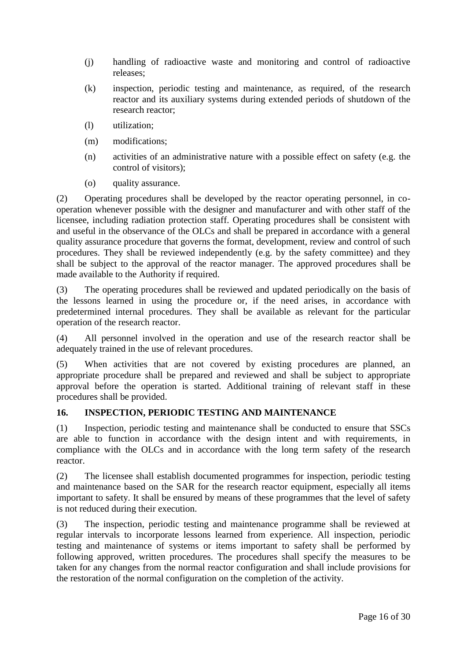- (j) handling of radioactive waste and monitoring and control of radioactive releases;
- (k) inspection, periodic testing and maintenance, as required, of the research reactor and its auxiliary systems during extended periods of shutdown of the research reactor;
- (l) utilization;
- (m) modifications;
- (n) activities of an administrative nature with a possible effect on safety (e.g. the control of visitors);
- (o) quality assurance.

(2) Operating procedures shall be developed by the reactor operating personnel, in cooperation whenever possible with the designer and manufacturer and with other staff of the licensee, including radiation protection staff. Operating procedures shall be consistent with and useful in the observance of the OLCs and shall be prepared in accordance with a general quality assurance procedure that governs the format, development, review and control of such procedures. They shall be reviewed independently (e.g. by the safety committee) and they shall be subject to the approval of the reactor manager. The approved procedures shall be made available to the Authority if required.

(3) The operating procedures shall be reviewed and updated periodically on the basis of the lessons learned in using the procedure or, if the need arises, in accordance with predetermined internal procedures. They shall be available as relevant for the particular operation of the research reactor.

(4) All personnel involved in the operation and use of the research reactor shall be adequately trained in the use of relevant procedures.

(5) When activities that are not covered by existing procedures are planned, an appropriate procedure shall be prepared and reviewed and shall be subject to appropriate approval before the operation is started. Additional training of relevant staff in these procedures shall be provided.

## **16. INSPECTION, PERIODIC TESTING AND MAINTENANCE**

(1) Inspection, periodic testing and maintenance shall be conducted to ensure that SSCs are able to function in accordance with the design intent and with requirements, in compliance with the OLCs and in accordance with the long term safety of the research reactor.

(2) The licensee shall establish documented programmes for inspection, periodic testing and maintenance based on the SAR for the research reactor equipment, especially all items important to safety. It shall be ensured by means of these programmes that the level of safety is not reduced during their execution.

(3) The inspection, periodic testing and maintenance programme shall be reviewed at regular intervals to incorporate lessons learned from experience. All inspection, periodic testing and maintenance of systems or items important to safety shall be performed by following approved, written procedures. The procedures shall specify the measures to be taken for any changes from the normal reactor configuration and shall include provisions for the restoration of the normal configuration on the completion of the activity.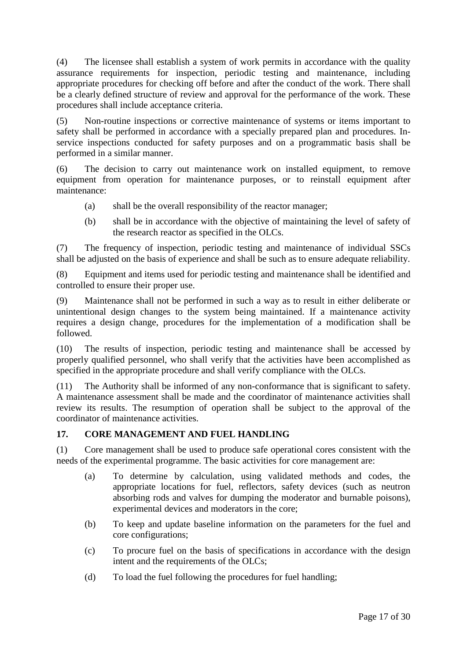(4) The licensee shall establish a system of work permits in accordance with the quality assurance requirements for inspection, periodic testing and maintenance, including appropriate procedures for checking off before and after the conduct of the work. There shall be a clearly defined structure of review and approval for the performance of the work. These procedures shall include acceptance criteria.

(5) Non-routine inspections or corrective maintenance of systems or items important to safety shall be performed in accordance with a specially prepared plan and procedures. Inservice inspections conducted for safety purposes and on a programmatic basis shall be performed in a similar manner.

(6) The decision to carry out maintenance work on installed equipment, to remove equipment from operation for maintenance purposes, or to reinstall equipment after maintenance:

- (a) shall be the overall responsibility of the reactor manager;
- (b) shall be in accordance with the objective of maintaining the level of safety of the research reactor as specified in the OLCs.

(7) The frequency of inspection, periodic testing and maintenance of individual SSCs shall be adjusted on the basis of experience and shall be such as to ensure adequate reliability.

(8) Equipment and items used for periodic testing and maintenance shall be identified and controlled to ensure their proper use.

(9) Maintenance shall not be performed in such a way as to result in either deliberate or unintentional design changes to the system being maintained. If a maintenance activity requires a design change, procedures for the implementation of a modification shall be followed.

(10) The results of inspection, periodic testing and maintenance shall be accessed by properly qualified personnel, who shall verify that the activities have been accomplished as specified in the appropriate procedure and shall verify compliance with the OLCs.

(11) The Authority shall be informed of any non-conformance that is significant to safety. A maintenance assessment shall be made and the coordinator of maintenance activities shall review its results. The resumption of operation shall be subject to the approval of the coordinator of maintenance activities.

## **17. CORE MANAGEMENT AND FUEL HANDLING**

(1) Core management shall be used to produce safe operational cores consistent with the needs of the experimental programme. The basic activities for core management are:

- (a) To determine by calculation, using validated methods and codes, the appropriate locations for fuel, reflectors, safety devices (such as neutron absorbing rods and valves for dumping the moderator and burnable poisons), experimental devices and moderators in the core;
- (b) To keep and update baseline information on the parameters for the fuel and core configurations;
- (c) To procure fuel on the basis of specifications in accordance with the design intent and the requirements of the OLCs;
- (d) To load the fuel following the procedures for fuel handling;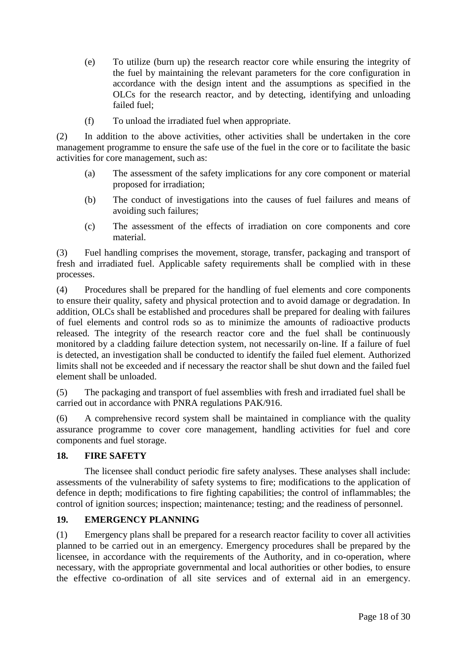- (e) To utilize (burn up) the research reactor core while ensuring the integrity of the fuel by maintaining the relevant parameters for the core configuration in accordance with the design intent and the assumptions as specified in the OLCs for the research reactor, and by detecting, identifying and unloading failed fuel;
- (f) To unload the irradiated fuel when appropriate.

(2) In addition to the above activities, other activities shall be undertaken in the core management programme to ensure the safe use of the fuel in the core or to facilitate the basic activities for core management, such as:

- (a) The assessment of the safety implications for any core component or material proposed for irradiation;
- (b) The conduct of investigations into the causes of fuel failures and means of avoiding such failures;
- (c) The assessment of the effects of irradiation on core components and core material.

(3) Fuel handling comprises the movement, storage, transfer, packaging and transport of fresh and irradiated fuel. Applicable safety requirements shall be complied with in these processes.

(4) Procedures shall be prepared for the handling of fuel elements and core components to ensure their quality, safety and physical protection and to avoid damage or degradation. In addition, OLCs shall be established and procedures shall be prepared for dealing with failures of fuel elements and control rods so as to minimize the amounts of radioactive products released. The integrity of the research reactor core and the fuel shall be continuously monitored by a cladding failure detection system, not necessarily on-line. If a failure of fuel is detected, an investigation shall be conducted to identify the failed fuel element. Authorized limits shall not be exceeded and if necessary the reactor shall be shut down and the failed fuel element shall be unloaded.

(5) The packaging and transport of fuel assemblies with fresh and irradiated fuel shall be carried out in accordance with PNRA regulations PAK/916.

(6) A comprehensive record system shall be maintained in compliance with the quality assurance programme to cover core management, handling activities for fuel and core components and fuel storage.

## **18. FIRE SAFETY**

The licensee shall conduct periodic fire safety analyses. These analyses shall include: assessments of the vulnerability of safety systems to fire; modifications to the application of defence in depth; modifications to fire fighting capabilities; the control of inflammables; the control of ignition sources; inspection; maintenance; testing; and the readiness of personnel.

## **19. EMERGENCY PLANNING**

(1) Emergency plans shall be prepared for a research reactor facility to cover all activities planned to be carried out in an emergency. Emergency procedures shall be prepared by the licensee, in accordance with the requirements of the Authority, and in co-operation, where necessary, with the appropriate governmental and local authorities or other bodies, to ensure the effective co-ordination of all site services and of external aid in an emergency.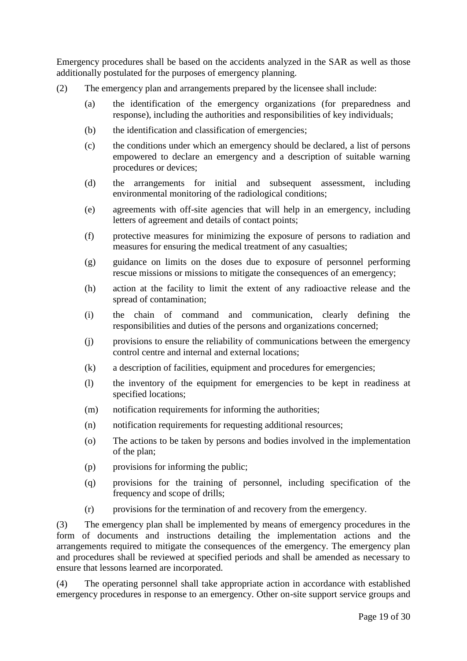Emergency procedures shall be based on the accidents analyzed in the SAR as well as those additionally postulated for the purposes of emergency planning.

- (2) The emergency plan and arrangements prepared by the licensee shall include:
	- (a) the identification of the emergency organizations (for preparedness and response), including the authorities and responsibilities of key individuals;
	- (b) the identification and classification of emergencies;
	- (c) the conditions under which an emergency should be declared, a list of persons empowered to declare an emergency and a description of suitable warning procedures or devices;
	- (d) the arrangements for initial and subsequent assessment, including environmental monitoring of the radiological conditions;
	- (e) agreements with off-site agencies that will help in an emergency, including letters of agreement and details of contact points;
	- (f) protective measures for minimizing the exposure of persons to radiation and measures for ensuring the medical treatment of any casualties;
	- (g) guidance on limits on the doses due to exposure of personnel performing rescue missions or missions to mitigate the consequences of an emergency;
	- (h) action at the facility to limit the extent of any radioactive release and the spread of contamination;
	- (i) the chain of command and communication, clearly defining the responsibilities and duties of the persons and organizations concerned;
	- (j) provisions to ensure the reliability of communications between the emergency control centre and internal and external locations;
	- (k) a description of facilities, equipment and procedures for emergencies;
	- (l) the inventory of the equipment for emergencies to be kept in readiness at specified locations;
	- (m) notification requirements for informing the authorities;
	- (n) notification requirements for requesting additional resources;
	- (o) The actions to be taken by persons and bodies involved in the implementation of the plan;
	- (p) provisions for informing the public;
	- (q) provisions for the training of personnel, including specification of the frequency and scope of drills;
	- (r) provisions for the termination of and recovery from the emergency.

(3) The emergency plan shall be implemented by means of emergency procedures in the form of documents and instructions detailing the implementation actions and the arrangements required to mitigate the consequences of the emergency. The emergency plan and procedures shall be reviewed at specified periods and shall be amended as necessary to ensure that lessons learned are incorporated.

(4) The operating personnel shall take appropriate action in accordance with established emergency procedures in response to an emergency. Other on-site support service groups and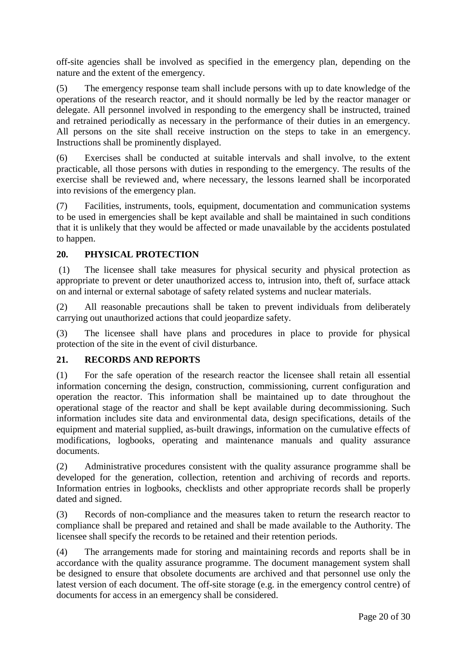off-site agencies shall be involved as specified in the emergency plan, depending on the nature and the extent of the emergency.

(5) The emergency response team shall include persons with up to date knowledge of the operations of the research reactor, and it should normally be led by the reactor manager or delegate. All personnel involved in responding to the emergency shall be instructed, trained and retrained periodically as necessary in the performance of their duties in an emergency. All persons on the site shall receive instruction on the steps to take in an emergency. Instructions shall be prominently displayed.

(6) Exercises shall be conducted at suitable intervals and shall involve, to the extent practicable, all those persons with duties in responding to the emergency. The results of the exercise shall be reviewed and, where necessary, the lessons learned shall be incorporated into revisions of the emergency plan.

(7) Facilities, instruments, tools, equipment, documentation and communication systems to be used in emergencies shall be kept available and shall be maintained in such conditions that it is unlikely that they would be affected or made unavailable by the accidents postulated to happen.

## **20. PHYSICAL PROTECTION**

(1) The licensee shall take measures for physical security and physical protection as appropriate to prevent or deter unauthorized access to, intrusion into, theft of, surface attack on and internal or external sabotage of safety related systems and nuclear materials.

(2) All reasonable precautions shall be taken to prevent individuals from deliberately carrying out unauthorized actions that could jeopardize safety.

(3) The licensee shall have plans and procedures in place to provide for physical protection of the site in the event of civil disturbance.

## **21. RECORDS AND REPORTS**

(1) For the safe operation of the research reactor the licensee shall retain all essential information concerning the design, construction, commissioning, current configuration and operation the reactor. This information shall be maintained up to date throughout the operational stage of the reactor and shall be kept available during decommissioning. Such information includes site data and environmental data, design specifications, details of the equipment and material supplied, as-built drawings, information on the cumulative effects of modifications, logbooks, operating and maintenance manuals and quality assurance documents.

(2) Administrative procedures consistent with the quality assurance programme shall be developed for the generation, collection, retention and archiving of records and reports. Information entries in logbooks, checklists and other appropriate records shall be properly dated and signed.

(3) Records of non-compliance and the measures taken to return the research reactor to compliance shall be prepared and retained and shall be made available to the Authority. The licensee shall specify the records to be retained and their retention periods.

(4) The arrangements made for storing and maintaining records and reports shall be in accordance with the quality assurance programme. The document management system shall be designed to ensure that obsolete documents are archived and that personnel use only the latest version of each document. The off-site storage (e.g. in the emergency control centre) of documents for access in an emergency shall be considered.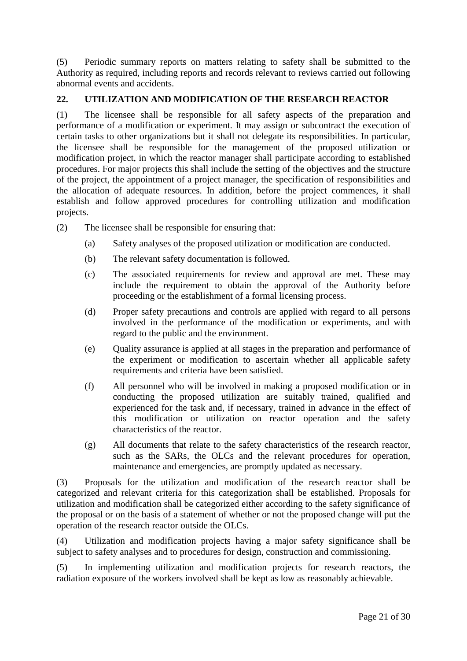(5) Periodic summary reports on matters relating to safety shall be submitted to the Authority as required, including reports and records relevant to reviews carried out following abnormal events and accidents.

## **22. UTILIZATION AND MODIFICATION OF THE RESEARCH REACTOR**

(1) The licensee shall be responsible for all safety aspects of the preparation and performance of a modification or experiment. It may assign or subcontract the execution of certain tasks to other organizations but it shall not delegate its responsibilities. In particular, the licensee shall be responsible for the management of the proposed utilization or modification project, in which the reactor manager shall participate according to established procedures. For major projects this shall include the setting of the objectives and the structure of the project, the appointment of a project manager, the specification of responsibilities and the allocation of adequate resources. In addition, before the project commences, it shall establish and follow approved procedures for controlling utilization and modification projects.

- (2) The licensee shall be responsible for ensuring that:
	- (a) Safety analyses of the proposed utilization or modification are conducted.
	- (b) The relevant safety documentation is followed.
	- (c) The associated requirements for review and approval are met. These may include the requirement to obtain the approval of the Authority before proceeding or the establishment of a formal licensing process.
	- (d) Proper safety precautions and controls are applied with regard to all persons involved in the performance of the modification or experiments, and with regard to the public and the environment.
	- (e) Quality assurance is applied at all stages in the preparation and performance of the experiment or modification to ascertain whether all applicable safety requirements and criteria have been satisfied.
	- (f) All personnel who will be involved in making a proposed modification or in conducting the proposed utilization are suitably trained, qualified and experienced for the task and, if necessary, trained in advance in the effect of this modification or utilization on reactor operation and the safety characteristics of the reactor.
	- (g) All documents that relate to the safety characteristics of the research reactor, such as the SARs, the OLCs and the relevant procedures for operation, maintenance and emergencies, are promptly updated as necessary.

(3) Proposals for the utilization and modification of the research reactor shall be categorized and relevant criteria for this categorization shall be established. Proposals for utilization and modification shall be categorized either according to the safety significance of the proposal or on the basis of a statement of whether or not the proposed change will put the operation of the research reactor outside the OLCs.

(4) Utilization and modification projects having a major safety significance shall be subject to safety analyses and to procedures for design, construction and commissioning.

(5) In implementing utilization and modification projects for research reactors, the radiation exposure of the workers involved shall be kept as low as reasonably achievable.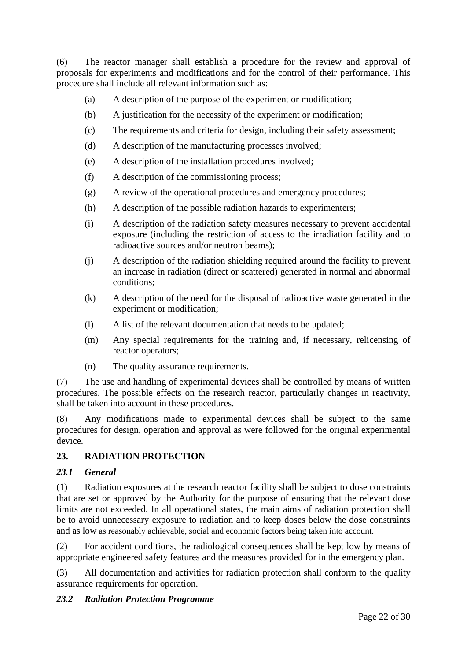(6) The reactor manager shall establish a procedure for the review and approval of proposals for experiments and modifications and for the control of their performance. This procedure shall include all relevant information such as:

- (a) A description of the purpose of the experiment or modification;
- (b) A justification for the necessity of the experiment or modification;
- (c) The requirements and criteria for design, including their safety assessment;
- (d) A description of the manufacturing processes involved;
- (e) A description of the installation procedures involved;
- (f) A description of the commissioning process;
- (g) A review of the operational procedures and emergency procedures;
- (h) A description of the possible radiation hazards to experimenters;
- (i) A description of the radiation safety measures necessary to prevent accidental exposure (including the restriction of access to the irradiation facility and to radioactive sources and/or neutron beams);
- (j) A description of the radiation shielding required around the facility to prevent an increase in radiation (direct or scattered) generated in normal and abnormal conditions;
- (k) A description of the need for the disposal of radioactive waste generated in the experiment or modification;
- (l) A list of the relevant documentation that needs to be updated;
- (m) Any special requirements for the training and, if necessary, relicensing of reactor operators;
- (n) The quality assurance requirements.

(7) The use and handling of experimental devices shall be controlled by means of written procedures. The possible effects on the research reactor, particularly changes in reactivity, shall be taken into account in these procedures.

(8) Any modifications made to experimental devices shall be subject to the same procedures for design, operation and approval as were followed for the original experimental device.

## **23. RADIATION PROTECTION**

## *23.1 General*

(1) Radiation exposures at the research reactor facility shall be subject to dose constraints that are set or approved by the Authority for the purpose of ensuring that the relevant dose limits are not exceeded. In all operational states, the main aims of radiation protection shall be to avoid unnecessary exposure to radiation and to keep doses below the dose constraints and as low as reasonably achievable, social and economic factors being taken into account.

(2) For accident conditions, the radiological consequences shall be kept low by means of appropriate engineered safety features and the measures provided for in the emergency plan.

(3) All documentation and activities for radiation protection shall conform to the quality assurance requirements for operation.

## *23.2 Radiation Protection Programme*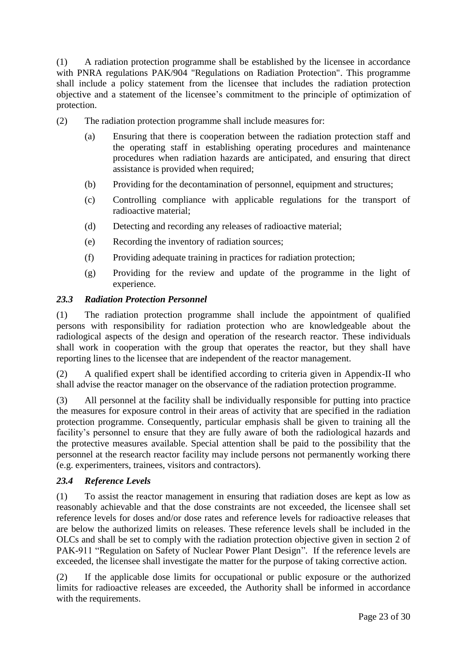(1) A radiation protection programme shall be established by the licensee in accordance with PNRA regulations PAK/904 "Regulations on Radiation Protection". This programme shall include a policy statement from the licensee that includes the radiation protection objective and a statement of the licensee"s commitment to the principle of optimization of protection.

- (2) The radiation protection programme shall include measures for:
	- (a) Ensuring that there is cooperation between the radiation protection staff and the operating staff in establishing operating procedures and maintenance procedures when radiation hazards are anticipated, and ensuring that direct assistance is provided when required;
	- (b) Providing for the decontamination of personnel, equipment and structures;
	- (c) Controlling compliance with applicable regulations for the transport of radioactive material;
	- (d) Detecting and recording any releases of radioactive material;
	- (e) Recording the inventory of radiation sources;
	- (f) Providing adequate training in practices for radiation protection;
	- (g) Providing for the review and update of the programme in the light of experience.

## *23.3 Radiation Protection Personnel*

(1) The radiation protection programme shall include the appointment of qualified persons with responsibility for radiation protection who are knowledgeable about the radiological aspects of the design and operation of the research reactor. These individuals shall work in cooperation with the group that operates the reactor, but they shall have reporting lines to the licensee that are independent of the reactor management.

(2) A qualified expert shall be identified according to criteria given in Appendix-II who shall advise the reactor manager on the observance of the radiation protection programme.

(3) All personnel at the facility shall be individually responsible for putting into practice the measures for exposure control in their areas of activity that are specified in the radiation protection programme. Consequently, particular emphasis shall be given to training all the facility's personnel to ensure that they are fully aware of both the radiological hazards and the protective measures available. Special attention shall be paid to the possibility that the personnel at the research reactor facility may include persons not permanently working there (e.g. experimenters, trainees, visitors and contractors).

## *23.4 Reference Levels*

(1) To assist the reactor management in ensuring that radiation doses are kept as low as reasonably achievable and that the dose constraints are not exceeded, the licensee shall set reference levels for doses and/or dose rates and reference levels for radioactive releases that are below the authorized limits on releases. These reference levels shall be included in the OLCs and shall be set to comply with the radiation protection objective given in section 2 of PAK-911 "Regulation on Safety of Nuclear Power Plant Design". If the reference levels are exceeded, the licensee shall investigate the matter for the purpose of taking corrective action.

(2) If the applicable dose limits for occupational or public exposure or the authorized limits for radioactive releases are exceeded, the Authority shall be informed in accordance with the requirements.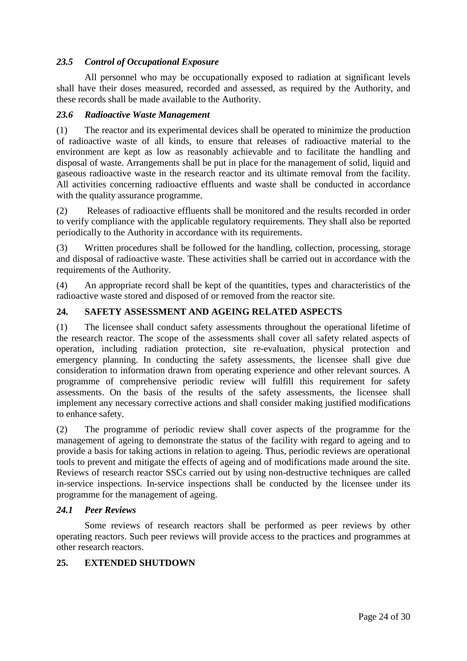## *23.5 Control of Occupational Exposure*

All personnel who may be occupationally exposed to radiation at significant levels shall have their doses measured, recorded and assessed, as required by the Authority, and these records shall be made available to the Authority.

#### *23.6 Radioactive Waste Management*

(1) The reactor and its experimental devices shall be operated to minimize the production of radioactive waste of all kinds, to ensure that releases of radioactive material to the environment are kept as low as reasonably achievable and to facilitate the handling and disposal of waste. Arrangements shall be put in place for the management of solid, liquid and gaseous radioactive waste in the research reactor and its ultimate removal from the facility. All activities concerning radioactive effluents and waste shall be conducted in accordance with the quality assurance programme.

(2) Releases of radioactive effluents shall be monitored and the results recorded in order to verify compliance with the applicable regulatory requirements. They shall also be reported periodically to the Authority in accordance with its requirements.

(3) Written procedures shall be followed for the handling, collection, processing, storage and disposal of radioactive waste. These activities shall be carried out in accordance with the requirements of the Authority.

(4) An appropriate record shall be kept of the quantities, types and characteristics of the radioactive waste stored and disposed of or removed from the reactor site.

## **24. SAFETY ASSESSMENT AND AGEING RELATED ASPECTS**

(1) The licensee shall conduct safety assessments throughout the operational lifetime of the research reactor. The scope of the assessments shall cover all safety related aspects of operation, including radiation protection, site re-evaluation, physical protection and emergency planning. In conducting the safety assessments, the licensee shall give due consideration to information drawn from operating experience and other relevant sources. A programme of comprehensive periodic review will fulfill this requirement for safety assessments. On the basis of the results of the safety assessments, the licensee shall implement any necessary corrective actions and shall consider making justified modifications to enhance safety.

(2) The programme of periodic review shall cover aspects of the programme for the management of ageing to demonstrate the status of the facility with regard to ageing and to provide a basis for taking actions in relation to ageing. Thus, periodic reviews are operational tools to prevent and mitigate the effects of ageing and of modifications made around the site. Reviews of research reactor SSCs carried out by using non-destructive techniques are called in-service inspections*.* In-service inspections shall be conducted by the licensee under its programme for the management of ageing.

#### *24.1 Peer Reviews*

Some reviews of research reactors shall be performed as peer reviews by other operating reactors. Such peer reviews will provide access to the practices and programmes at other research reactors.

#### **25. EXTENDED SHUTDOWN**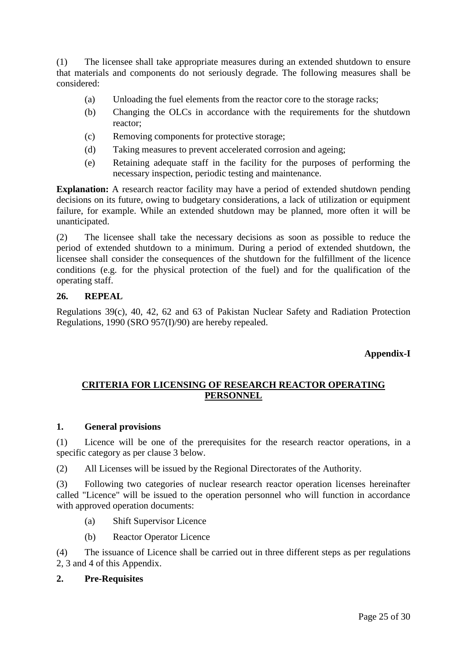(1) The licensee shall take appropriate measures during an extended shutdown to ensure that materials and components do not seriously degrade. The following measures shall be considered:

- (a) Unloading the fuel elements from the reactor core to the storage racks;
- (b) Changing the OLCs in accordance with the requirements for the shutdown reactor;
- (c) Removing components for protective storage;
- (d) Taking measures to prevent accelerated corrosion and ageing;
- (e) Retaining adequate staff in the facility for the purposes of performing the necessary inspection, periodic testing and maintenance.

**Explanation:** A research reactor facility may have a period of extended shutdown pending decisions on its future, owing to budgetary considerations, a lack of utilization or equipment failure, for example. While an extended shutdown may be planned, more often it will be unanticipated.

(2) The licensee shall take the necessary decisions as soon as possible to reduce the period of extended shutdown to a minimum. During a period of extended shutdown, the licensee shall consider the consequences of the shutdown for the fulfillment of the licence conditions (e.g. for the physical protection of the fuel) and for the qualification of the operating staff.

#### **26. REPEAL**

Regulations 39(c), 40, 42, 62 and 63 of Pakistan Nuclear Safety and Radiation Protection Regulations, 1990 (SRO 957(I)/90) are hereby repealed.

## **Appendix-I**

## **CRITERIA FOR LICENSING OF RESEARCH REACTOR OPERATING PERSONNEL**

#### **1. General provisions**

(1) Licence will be one of the prerequisites for the research reactor operations, in a specific category as per clause 3 below.

(2) All Licenses will be issued by the Regional Directorates of the Authority.

(3) Following two categories of nuclear research reactor operation licenses hereinafter called "Licence" will be issued to the operation personnel who will function in accordance with approved operation documents:

- (a) Shift Supervisor Licence
- (b) Reactor Operator Licence

(4) The issuance of Licence shall be carried out in three different steps as per regulations 2, 3 and 4 of this Appendix.

#### **2. Pre-Requisites**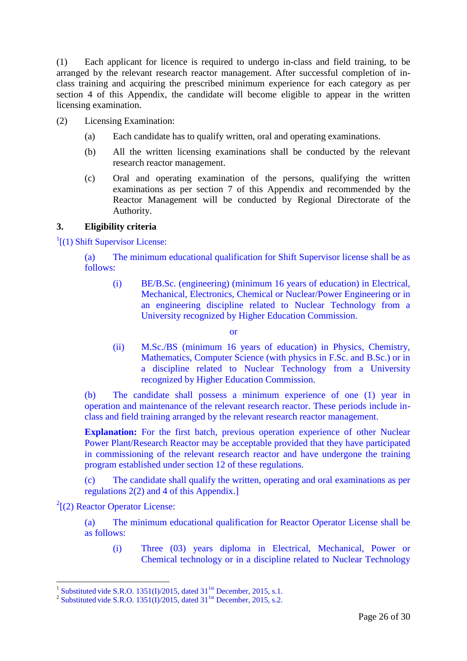(1) Each applicant for licence is required to undergo in-class and field training, to be arranged by the relevant research reactor management. After successful completion of inclass training and acquiring the prescribed minimum experience for each category as per section 4 of this Appendix, the candidate will become eligible to appear in the written licensing examination.

- (2) Licensing Examination:
	- (a) Each candidate has to qualify written, oral and operating examinations.
	- (b) All the written licensing examinations shall be conducted by the relevant research reactor management.
	- (c) Oral and operating examination of the persons, qualifying the written examinations as per section 7 of this Appendix and recommended by the Reactor Management will be conducted by Regional Directorate of the Authority.

#### **3. Eligibility criteria**

<sup>1</sup>[(1) Shift Supervisor License:

(a) The minimum educational qualification for Shift Supervisor license shall be as follows:

(i) BE/B.Sc. (engineering) (minimum 16 years of education) in Electrical, Mechanical, Electronics, Chemical or Nuclear/Power Engineering or in an engineering discipline related to Nuclear Technology from a University recognized by Higher Education Commission.

or

(ii) M.Sc./BS (minimum 16 years of education) in Physics, Chemistry, Mathematics, Computer Science (with physics in F.Sc. and B.Sc.) or in a discipline related to Nuclear Technology from a University recognized by Higher Education Commission.

(b) The candidate shall possess a minimum experience of one (1) year in operation and maintenance of the relevant research reactor. These periods include inclass and field training arranged by the relevant research reactor management.

**Explanation:** For the first batch, previous operation experience of other Nuclear Power Plant/Research Reactor may be acceptable provided that they have participated in commissioning of the relevant research reactor and have undergone the training program established under section 12 of these regulations.

(c) The candidate shall qualify the written, operating and oral examinations as per regulations 2(2) and 4 of this Appendix.]

 $2$ [(2) Reactor Operator License:

1

(a) The minimum educational qualification for Reactor Operator License shall be as follows:

(i) Three (03) years diploma in Electrical, Mechanical, Power or Chemical technology or in a discipline related to Nuclear Technology

<sup>1</sup> Substituted vide S.R.O. 1351(I)/2015, dated  $31^{1st}$  December, 2015, s.1.

<sup>&</sup>lt;sup>2</sup> Substituted vide S.R.O. 1351(I)/2015, dated 31<sup>1st</sup> December, 2015, s.2.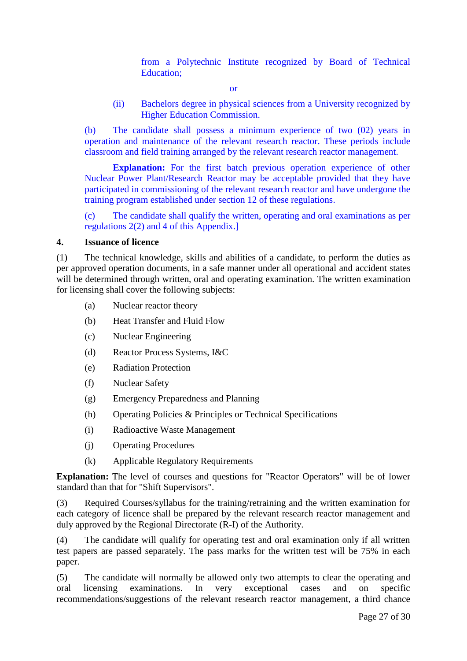from a Polytechnic Institute recognized by Board of Technical Education;

or

(ii) Bachelors degree in physical sciences from a University recognized by Higher Education Commission.

(b) The candidate shall possess a minimum experience of two (02) years in operation and maintenance of the relevant research reactor. These periods include classroom and field training arranged by the relevant research reactor management.

**Explanation:** For the first batch previous operation experience of other Nuclear Power Plant/Research Reactor may be acceptable provided that they have participated in commissioning of the relevant research reactor and have undergone the training program established under section 12 of these regulations.

(c) The candidate shall qualify the written, operating and oral examinations as per regulations 2(2) and 4 of this Appendix.]

## **4. Issuance of licence**

(1) The technical knowledge, skills and abilities of a candidate, to perform the duties as per approved operation documents, in a safe manner under all operational and accident states will be determined through written, oral and operating examination. The written examination for licensing shall cover the following subjects:

- (a) Nuclear reactor theory
- (b) Heat Transfer and Fluid Flow
- (c) Nuclear Engineering
- (d) Reactor Process Systems, I&C
- (e) Radiation Protection
- (f) Nuclear Safety
- (g) Emergency Preparedness and Planning
- (h) Operating Policies & Principles or Technical Specifications
- (i) Radioactive Waste Management
- (j) Operating Procedures
- (k) Applicable Regulatory Requirements

**Explanation:** The level of courses and questions for "Reactor Operators" will be of lower standard than that for "Shift Supervisors".

(3) Required Courses/syllabus for the training/retraining and the written examination for each category of licence shall be prepared by the relevant research reactor management and duly approved by the Regional Directorate (R-I) of the Authority.

(4) The candidate will qualify for operating test and oral examination only if all written test papers are passed separately. The pass marks for the written test will be 75% in each paper.

(5) The candidate will normally be allowed only two attempts to clear the operating and oral licensing examinations. In very exceptional cases and on specific recommendations/suggestions of the relevant research reactor management, a third chance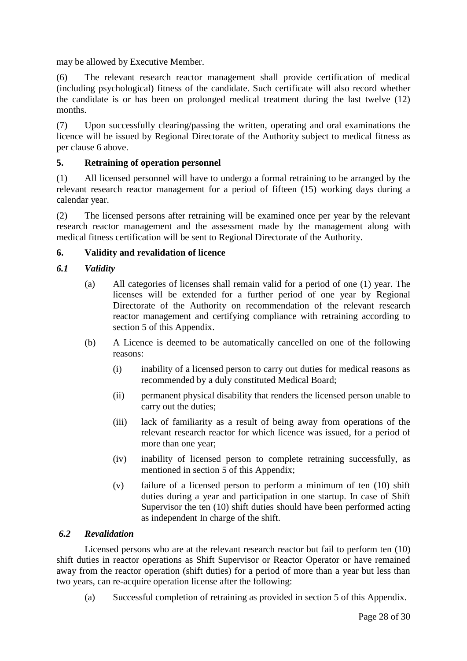may be allowed by Executive Member.

(6) The relevant research reactor management shall provide certification of medical (including psychological) fitness of the candidate. Such certificate will also record whether the candidate is or has been on prolonged medical treatment during the last twelve (12) months.

(7) Upon successfully clearing/passing the written, operating and oral examinations the licence will be issued by Regional Directorate of the Authority subject to medical fitness as per clause 6 above.

## **5. Retraining of operation personnel**

(1) All licensed personnel will have to undergo a formal retraining to be arranged by the relevant research reactor management for a period of fifteen (15) working days during a calendar year.

(2) The licensed persons after retraining will be examined once per year by the relevant research reactor management and the assessment made by the management along with medical fitness certification will be sent to Regional Directorate of the Authority.

#### **6. Validity and revalidation of licence**

#### *6.1 Validity*

- (a) All categories of licenses shall remain valid for a period of one (1) year. The licenses will be extended for a further period of one year by Regional Directorate of the Authority on recommendation of the relevant research reactor management and certifying compliance with retraining according to section 5 of this Appendix.
- (b) A Licence is deemed to be automatically cancelled on one of the following reasons:
	- (i) inability of a licensed person to carry out duties for medical reasons as recommended by a duly constituted Medical Board;
	- (ii) permanent physical disability that renders the licensed person unable to carry out the duties;
	- (iii) lack of familiarity as a result of being away from operations of the relevant research reactor for which licence was issued, for a period of more than one year;
	- (iv) inability of licensed person to complete retraining successfully, as mentioned in section 5 of this Appendix;
	- (v) failure of a licensed person to perform a minimum of ten (10) shift duties during a year and participation in one startup. In case of Shift Supervisor the ten (10) shift duties should have been performed acting as independent In charge of the shift.

#### *6.2 Revalidation*

Licensed persons who are at the relevant research reactor but fail to perform ten (10) shift duties in reactor operations as Shift Supervisor or Reactor Operator or have remained away from the reactor operation (shift duties) for a period of more than a year but less than two years, can re-acquire operation license after the following:

(a) Successful completion of retraining as provided in section 5 of this Appendix.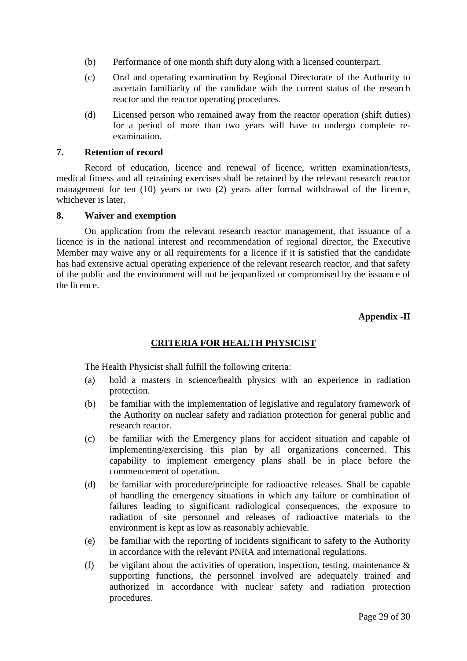- (b) Performance of one month shift duty along with a licensed counterpart.
- (c) Oral and operating examination by Regional Directorate of the Authority to ascertain familiarity of the candidate with the current status of the research reactor and the reactor operating procedures.
- (d) Licensed person who remained away from the reactor operation (shift duties) for a period of more than two years will have to undergo complete reexamination.

#### **7. Retention of record**

Record of education, licence and renewal of licence, written examination/tests, medical fitness and all retraining exercises shall be retained by the relevant research reactor management for ten (10) years or two (2) years after formal withdrawal of the licence, whichever is later.

#### **8. Waiver and exemption**

On application from the relevant research reactor management, that issuance of a licence is in the national interest and recommendation of regional director, the Executive Member may waive any or all requirements for a licence if it is satisfied that the candidate has had extensive actual operating experience of the relevant research reactor, and that safety of the public and the environment will not be jeopardized or compromised by the issuance of the licence.

## **Appendix -II**

## **CRITERIA FOR HEALTH PHYSICIST**

The Health Physicist shall fulfill the following criteria:

- (a) hold a masters in science/health physics with an experience in radiation protection.
- (b) be familiar with the implementation of legislative and regulatory framework of the Authority on nuclear safety and radiation protection for general public and research reactor.
- (c) be familiar with the Emergency plans for accident situation and capable of implementing/exercising this plan by all organizations concerned. This capability to implement emergency plans shall be in place before the commencement of operation.
- (d) be familiar with procedure/principle for radioactive releases. Shall be capable of handling the emergency situations in which any failure or combination of failures leading to significant radiological consequences, the exposure to radiation of site personnel and releases of radioactive materials to the environment is kept as low as reasonably achievable.
- (e) be familiar with the reporting of incidents significant to safety to the Authority in accordance with the relevant PNRA and international regulations.
- (f) be vigilant about the activities of operation, inspection, testing, maintenance  $\&$ supporting functions, the personnel involved are adequately trained and authorized in accordance with nuclear safety and radiation protection procedures.